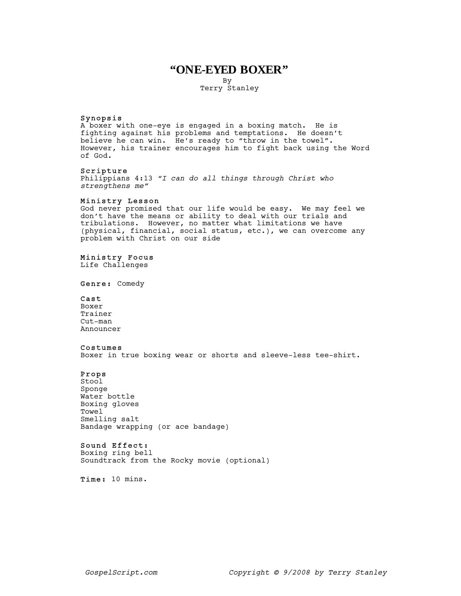# **"ONE-EYED BOXER"**

By

Terry Stanley

#### Synopsis

A boxer with one-eye is engaged in a boxing match. He is fighting against his problems and temptations. He doesn't believe he can win. He's ready to "throw in the towel". However, his trainer encourages him to fight back using the Word of God.

## Scripture

Philippians 4:13 "I can do all things through Christ who strengthens me"

## Ministry Lesson

God never promised that our life would be easy. We may feel we don't have the means or ability to deal with our trials and tribulations. However, no matter what limitations we have (physical, financial, social status, etc.), we can overcome any problem with Christ on our side

#### Ministry Focus

Life Challenges

Genre: Comedy

# Cast

Boxer Trainer Cut-man Announcer

#### Costumes

Boxer in true boxing wear or shorts and sleeve-less tee-shirt.

## Props

Stool Sponge Water bottle Boxing gloves Towel Smelling salt Bandage wrapping (or ace bandage)

# Sound Effect:

Boxing ring bell Soundtrack from the Rocky movie (optional)

Time: 10 mins.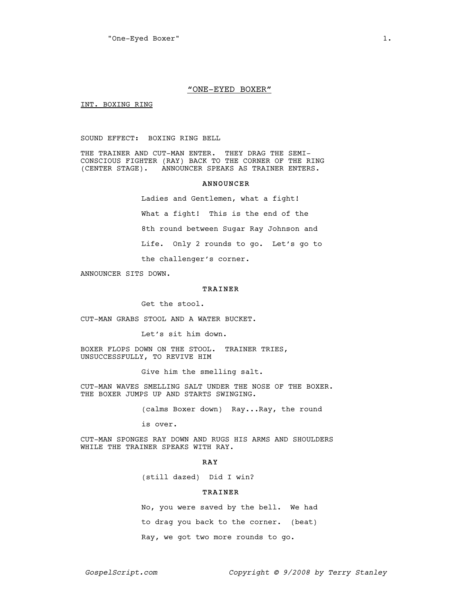#### "ONE-EYED BOXER"

INT. BOXING RING

SOUND EFFECT: BOXING RING BELL

THE TRAINER AND CUT-MAN ENTER. THEY DRAG THE SEMI-CONSCIOUS FIGHTER (RAY) BACK TO THE CORNER OF THE RING (CENTER STAGE). ANNOUNCER SPEAKS AS TRAINER ENTERS.

#### ANNOUNCER

Ladies and Gentlemen, what a fight! What a fight! This is the end of the 8th round between Sugar Ray Johnson and Life. Only 2 rounds to go. Let's go to the challenger's corner.

ANNOUNCER SITS DOWN.

## TRAINER

Get the stool.

CUT-MAN GRABS STOOL AND A WATER BUCKET.

Let's sit him down.

BOXER FLOPS DOWN ON THE STOOL. TRAINER TRIES, UNSUCCESSFULLY, TO REVIVE HIM

Give him the smelling salt.

CUT-MAN WAVES SMELLING SALT UNDER THE NOSE OF THE BOXER. THE BOXER JUMPS UP AND STARTS SWINGING.

(calms Boxer down) Ray...Ray, the round

is over.

CUT-MAN SPONGES RAY DOWN AND RUGS HIS ARMS AND SHOULDERS WHILE THE TRAINER SPEAKS WITH RAY.

#### RAY

(still dazed) Did I win?

# TRAINER

No, you were saved by the bell. We had to drag you back to the corner. (beat) Ray, we got two more rounds to go.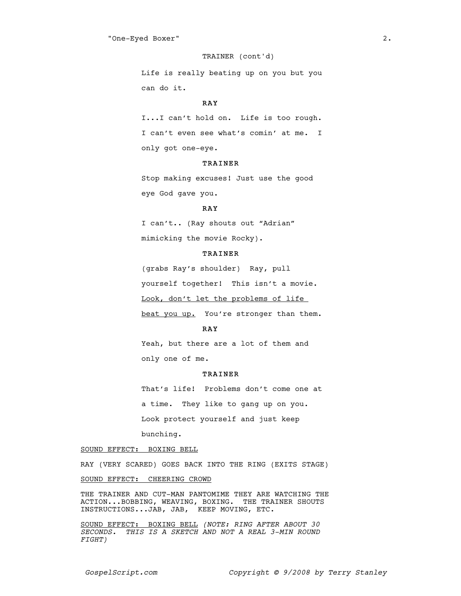#### TRAINER (cont'd)

Life is really beating up on you but you can do it.

## RAY

I...I can't hold on. Life is too rough. I can't even see what's comin' at me. I only got one-eye.

## TRAINER

Stop making excuses! Just use the good eye God gave you.

#### RAY

I can't.. (Ray shouts out "Adrian" mimicking the movie Rocky).

## TRAINER

(grabs Ray's shoulder) Ray, pull yourself together! This isn't a movie. Look, don't let the problems of life beat you up. You're stronger than them.

## RAY

Yeah, but there are a lot of them and only one of me.

## TRAINER

That's life! Problems don't come one at a time. They like to gang up on you. Look protect yourself and just keep bunching.

#### SOUND EFFECT: BOXING BELL

RAY (VERY SCARED) GOES BACK INTO THE RING (EXITS STAGE)

## SOUND EFFECT: CHEERING CROWD

THE TRAINER AND CUT-MAN PANTOMIME THEY ARE WATCHING THE ACTION...BOBBING, WEAVING, BOXING. THE TRAINER SHOUTS INSTRUCTIONS...JAB, JAB, KEEP MOVING, ETC.

SOUND EFFECT: BOXING BELL (NOTE: RING AFTER ABOUT 30 SECONDS. THIS IS A SKETCH AND NOT A REAL 3-MIN ROUND FIGHT)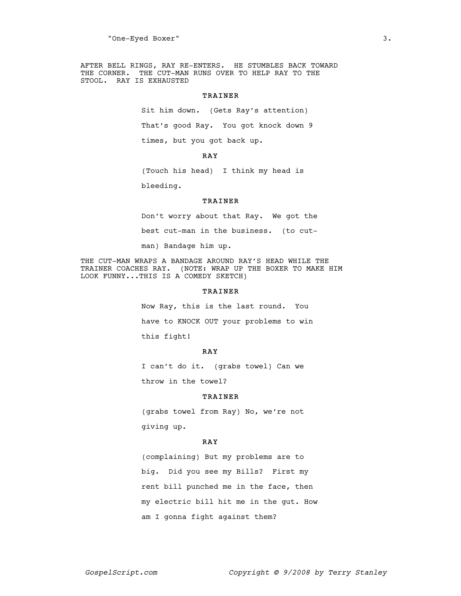AFTER BELL RINGS, RAY RE-ENTERS. HE STUMBLES BACK TOWARD THE CORNER. THE CUT-MAN RUNS OVER TO HELP RAY TO THE STOOL. RAY IS EXHAUSTED

### TRAINER

Sit him down. (Gets Ray's attention) That's good Ray. You got knock down 9 times, but you got back up.

# RAY

(Touch his head) I think my head is

bleeding.

#### TRAINER

Don't worry about that Ray. We got the best cut-man in the business. (to cut-

man) Bandage him up.

THE CUT-MAN WRAPS A BANDAGE AROUND RAY'S HEAD WHILE THE TRAINER COACHES RAY. (NOTE: WRAP UP THE BOXER TO MAKE HIM LOOK FUNNY...THIS IS A COMEDY SKETCH)

# TRAINER

Now Ray, this is the last round. You have to KNOCK OUT your problems to win this fight!

## RAY

I can't do it. (grabs towel) Can we throw in the towel?

#### TRAINER

(grabs towel from Ray) No, we're not giving up.

#### RAY

(complaining) But my problems are to big. Did you see my Bills? First my rent bill punched me in the face, then my electric bill hit me in the gut. How am I gonna fight against them?